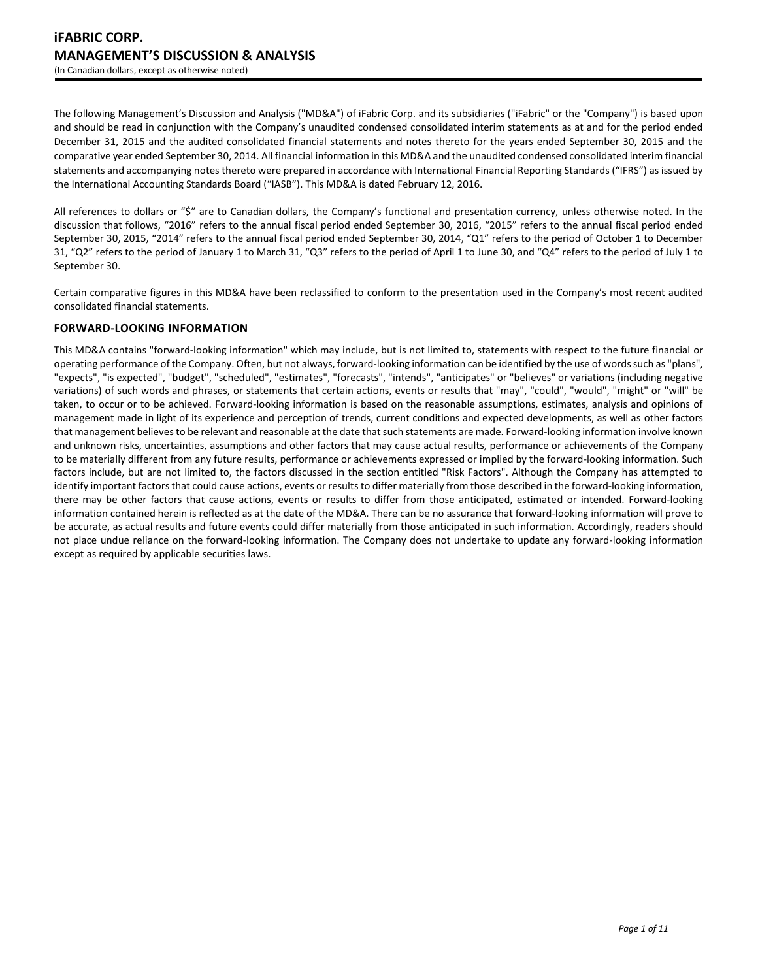The following Management's Discussion and Analysis ("MD&A") of iFabric Corp. and its subsidiaries ("iFabric" or the "Company") is based upon and should be read in conjunction with the Company's unaudited condensed consolidated interim statements as at and for the period ended December 31, 2015 and the audited consolidated financial statements and notes thereto for the years ended September 30, 2015 and the comparative year ended September 30, 2014. All financial information in this MD&A and the unaudited condensed consolidated interim financial statements and accompanying notes thereto were prepared in accordance with International Financial Reporting Standards ("IFRS") as issued by the International Accounting Standards Board ("IASB"). This MD&A is dated February 12, 2016.

All references to dollars or "\$" are to Canadian dollars, the Company's functional and presentation currency, unless otherwise noted. In the discussion that follows, "2016" refers to the annual fiscal period ended September 30, 2016, "2015" refers to the annual fiscal period ended September 30, 2015, "2014" refers to the annual fiscal period ended September 30, 2014, "Q1" refers to the period of October 1 to December 31, "Q2" refers to the period of January 1 to March 31, "Q3" refers to the period of April 1 to June 30, and "Q4" refers to the period of July 1 to September 30.

Certain comparative figures in this MD&A have been reclassified to conform to the presentation used in the Company's most recent audited consolidated financial statements.

# **FORWARD-LOOKING INFORMATION**

This MD&A contains "forward-looking information" which may include, but is not limited to, statements with respect to the future financial or operating performance of the Company. Often, but not always, forward-looking information can be identified by the use of words such as "plans", "expects", "is expected", "budget", "scheduled", "estimates", "forecasts", "intends", "anticipates" or "believes" or variations (including negative variations) of such words and phrases, or statements that certain actions, events or results that "may", "could", "would", "might" or "will" be taken, to occur or to be achieved. Forward-looking information is based on the reasonable assumptions, estimates, analysis and opinions of management made in light of its experience and perception of trends, current conditions and expected developments, as well as other factors that management believes to be relevant and reasonable at the date that such statements are made. Forward-looking information involve known and unknown risks, uncertainties, assumptions and other factors that may cause actual results, performance or achievements of the Company to be materially different from any future results, performance or achievements expressed or implied by the forward-looking information. Such factors include, but are not limited to, the factors discussed in the section entitled "Risk Factors". Although the Company has attempted to identify important factors that could cause actions, events or results to differ materially from those described in the forward-looking information, there may be other factors that cause actions, events or results to differ from those anticipated, estimated or intended. Forward-looking information contained herein is reflected as at the date of the MD&A. There can be no assurance that forward-looking information will prove to be accurate, as actual results and future events could differ materially from those anticipated in such information. Accordingly, readers should not place undue reliance on the forward-looking information. The Company does not undertake to update any forward-looking information except as required by applicable securities laws.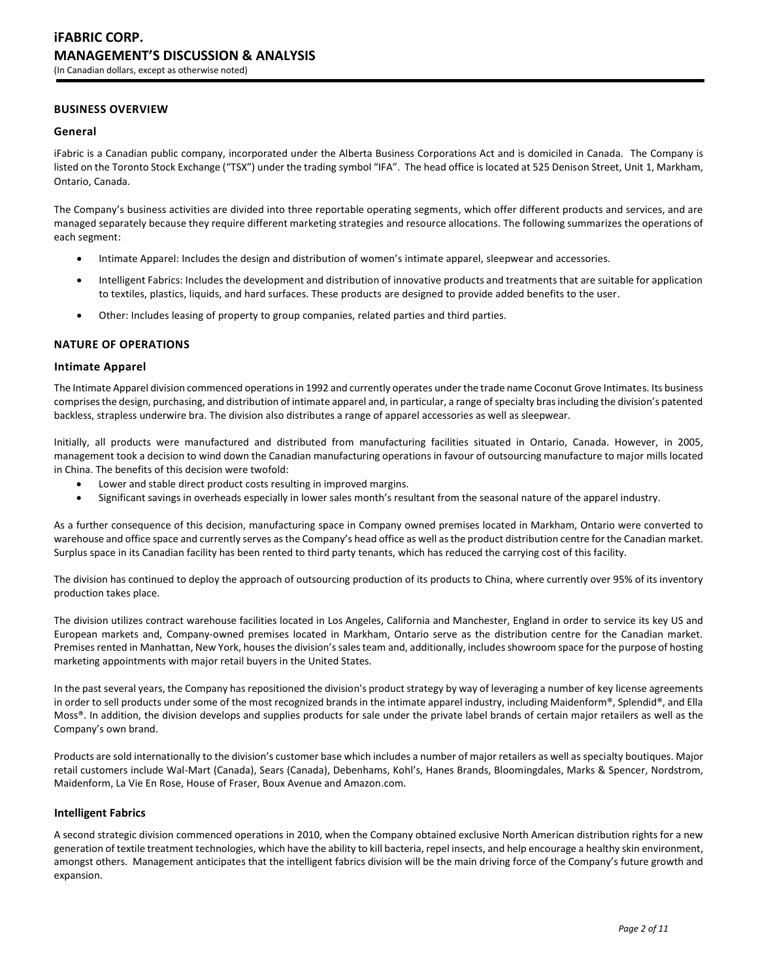# **BUSINESS OVERVIEW**

### **General**

iFabric is a Canadian public company, incorporated under the Alberta Business Corporations Act and is domiciled in Canada. The Company is listed on the Toronto Stock Exchange ("TSX") under the trading symbol "IFA". The head office is located at 525 Denison Street, Unit 1, Markham, Ontario, Canada.

The Company's business activities are divided into three reportable operating segments, which offer different products and services, and are managed separately because they require different marketing strategies and resource allocations. The following summarizes the operations of each segment:

- Intimate Apparel: Includes the design and distribution of women's intimate apparel, sleepwear and accessories.
- Intelligent Fabrics: Includes the development and distribution of innovative products and treatments that are suitable for application to textiles, plastics, liquids, and hard surfaces. These products are designed to provide added benefits to the user.
- Other: Includes leasing of property to group companies, related parties and third parties.

### **NATURE OF OPERATIONS**

### **Intimate Apparel**

The Intimate Apparel division commenced operations in 1992 and currently operates under the trade name Coconut Grove Intimates. Its business comprises the design, purchasing, and distribution of intimate apparel and, in particular, a range of specialty bras including the division's patented backless, strapless underwire bra. The division also distributes a range of apparel accessories as well as sleepwear.

Initially, all products were manufactured and distributed from manufacturing facilities situated in Ontario, Canada. However, in 2005, management took a decision to wind down the Canadian manufacturing operations in favour of outsourcing manufacture to major mills located in China. The benefits of this decision were twofold:

- Lower and stable direct product costs resulting in improved margins.
- Significant savings in overheads especially in lower sales month's resultant from the seasonal nature of the apparel industry.

As a further consequence of this decision, manufacturing space in Company owned premises located in Markham, Ontario were converted to warehouse and office space and currently serves as the Company's head office as well as the product distribution centre for the Canadian market. Surplus space in its Canadian facility has been rented to third party tenants, which has reduced the carrying cost of this facility.

The division has continued to deploy the approach of outsourcing production of its products to China, where currently over 95% of its inventory production takes place.

The division utilizes contract warehouse facilities located in Los Angeles, California and Manchester, England in order to service its key US and European markets and, Company-owned premises located in Markham, Ontario serve as the distribution centre for the Canadian market. Premises rented in Manhattan, New York, houses the division's sales team and, additionally, includes showroom space for the purpose of hosting marketing appointments with major retail buyers in the United States.

In the past several years, the Company has repositioned the division's product strategy by way of leveraging a number of key license agreements in order to sell products under some of the most recognized brands in the intimate apparel industry, including Maidenform®, Splendid®, and Ella Moss®. In addition, the division develops and supplies products for sale under the private label brands of certain major retailers as well as the Company's own brand.

Products are sold internationally to the division's customer base which includes a number of major retailers as well as specialty boutiques. Major retail customers include Wal-Mart (Canada), Sears (Canada), Debenhams, Kohl's, Hanes Brands, Bloomingdales, Marks & Spencer, Nordstrom, Maidenform, La Vie En Rose, House of Fraser, Boux Avenue and Amazon.com.

### **Intelligent Fabrics**

A second strategic division commenced operations in 2010, when the Company obtained exclusive North American distribution rights for a new generation of textile treatment technologies, which have the ability to kill bacteria, repel insects, and help encourage a healthy skin environment, amongst others. Management anticipates that the intelligent fabrics division will be the main driving force of the Company's future growth and expansion.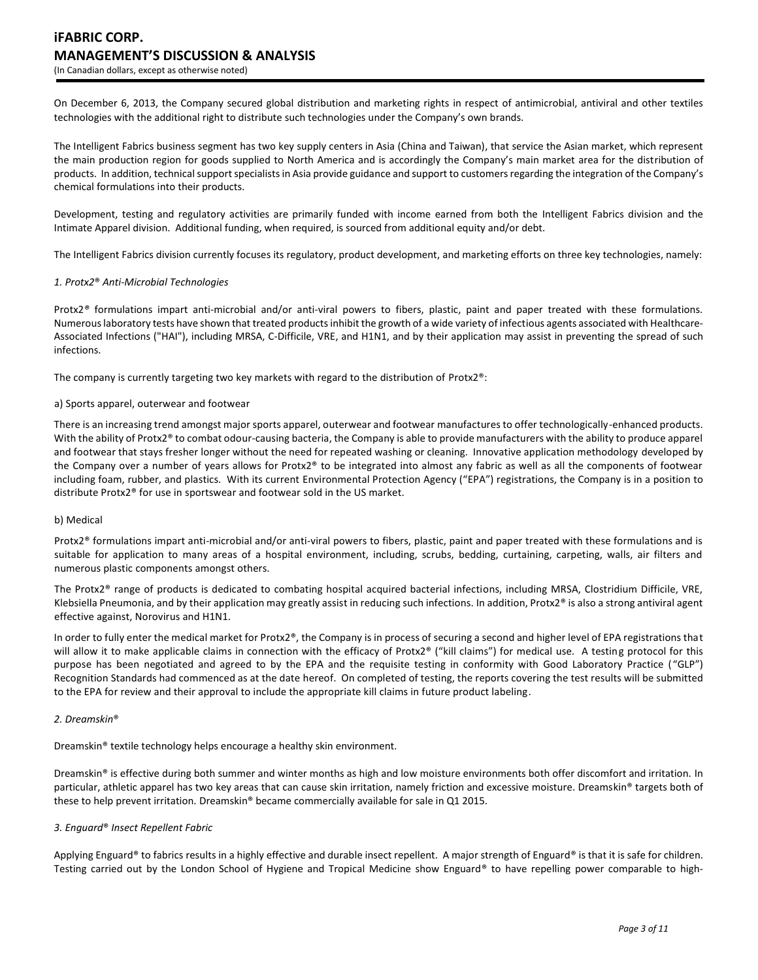On December 6, 2013, the Company secured global distribution and marketing rights in respect of antimicrobial, antiviral and other textiles technologies with the additional right to distribute such technologies under the Company's own brands.

The Intelligent Fabrics business segment has two key supply centers in Asia (China and Taiwan), that service the Asian market, which represent the main production region for goods supplied to North America and is accordingly the Company's main market area for the distribution of products. In addition, technical support specialists in Asia provide guidance and support to customers regarding the integration of the Company's chemical formulations into their products.

Development, testing and regulatory activities are primarily funded with income earned from both the Intelligent Fabrics division and the Intimate Apparel division. Additional funding, when required, is sourced from additional equity and/or debt.

The Intelligent Fabrics division currently focuses its regulatory, product development, and marketing efforts on three key technologies, namely:

#### *1. Protx2*® *Anti-Microbial Technologies*

Protx2*®* formulations impart anti-microbial and/or anti-viral powers to fibers, plastic, paint and paper treated with these formulations. Numerous laboratory tests have shown that treated products inhibit the growth of a wide variety of infectious agents associated with Healthcare-Associated Infections ("HAI"), including MRSA, C-Difficile, VRE, and H1N1, and by their application may assist in preventing the spread of such infections.

The company is currently targeting two key markets with regard to the distribution of Protx2®:

#### a) Sports apparel, outerwear and footwear

There is an increasing trend amongst major sports apparel, outerwear and footwear manufactures to offer technologically-enhanced products. With the ability of Protx2<sup>®</sup> to combat odour-causing bacteria, the Company is able to provide manufacturers with the ability to produce apparel and footwear that stays fresher longer without the need for repeated washing or cleaning. Innovative application methodology developed by the Company over a number of years allows for Protx2® to be integrated into almost any fabric as well as all the components of footwear including foam, rubber, and plastics. With its current Environmental Protection Agency ("EPA") registrations, the Company is in a position to distribute Protx2® for use in sportswear and footwear sold in the US market.

#### b) Medical

Protx2® formulations impart anti-microbial and/or anti-viral powers to fibers, plastic, paint and paper treated with these formulations and is suitable for application to many areas of a hospital environment, including, scrubs, bedding, curtaining, carpeting, walls, air filters and numerous plastic components amongst others.

The Protx2® range of products is dedicated to combating hospital acquired bacterial infections, including MRSA, Clostridium Difficile, VRE, Klebsiella Pneumonia, and by their application may greatly assist in reducing such infections. In addition, Protx $2<sup>®</sup>$  is also a strong antiviral agent effective against, Norovirus and H1N1.

In order to fully enter the medical market for Protx2®, the Company is in process of securing a second and higher level of EPA registrations that will allow it to make applicable claims in connection with the efficacy of Protx2® ("kill claims") for medical use. A testing protocol for this purpose has been negotiated and agreed to by the EPA and the requisite testing in conformity with Good Laboratory Practice ("GLP") Recognition Standards had commenced as at the date hereof. On completed of testing, the reports covering the test results will be submitted to the EPA for review and their approval to include the appropriate kill claims in future product labeling.

### *2. Dreamskin*®

Dreamskin® textile technology helps encourage a healthy skin environment.

Dreamskin® is effective during both summer and winter months as high and low moisture environments both offer discomfort and irritation. In particular, athletic apparel has two key areas that can cause skin irritation, namely friction and excessive moisture. Dreamskin® targets both of these to help prevent irritation. Dreamskin® became commercially available for sale in Q1 2015.

### *3. Enguard*® *Insect Repellent Fabric*

Applying Enguard® to fabrics results in a highly effective and durable insect repellent. A major strength of Enguard® is that it is safe for children. Testing carried out by the London School of Hygiene and Tropical Medicine show Enguard® to have repelling power comparable to high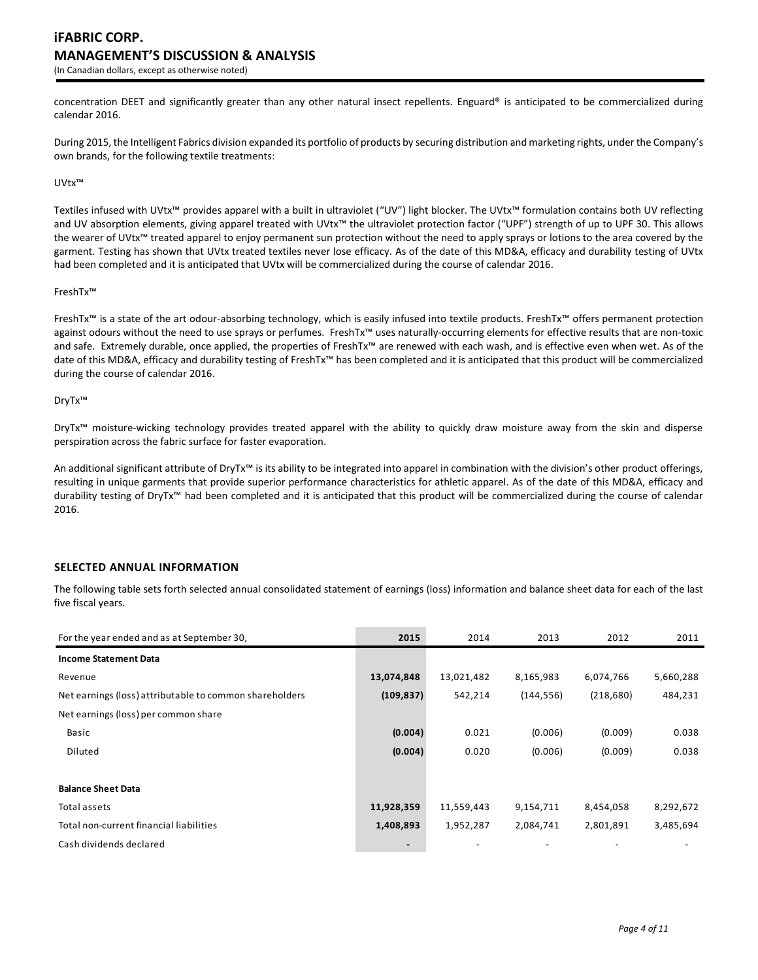concentration DEET and significantly greater than any other natural insect repellents. Enguard® is anticipated to be commercialized during calendar 2016.

During 2015, the Intelligent Fabrics division expanded its portfolio of products by securing distribution and marketing rights, under the Company's own brands, for the following textile treatments:

#### UVtx™

Textiles infused with UVtx™ provides apparel with a built in ultraviolet ("UV") light blocker. The UVtx™ formulation contains both UV reflecting and UV absorption elements, giving apparel treated with UVtx™ the ultraviolet protection factor ("UPF") strength of up to UPF 30. This allows the wearer of UVtx™ treated apparel to enjoy permanent sun protection without the need to apply sprays or lotions to the area covered by the garment. Testing has shown that UVtx treated textiles never lose efficacy. As of the date of this MD&A, efficacy and durability testing of UVtx had been completed and it is anticipated that UVtx will be commercialized during the course of calendar 2016.

#### FreshTx™

FreshTx™ is a state of the art odour-absorbing technology, which is easily infused into textile products. FreshTx™ offers permanent protection against odours without the need to use sprays or perfumes. FreshTx™ uses naturally-occurring elements for effective results that are non-toxic and safe. Extremely durable, once applied, the properties of FreshTx™ are renewed with each wash, and is effective even when wet. As of the date of this MD&A, efficacy and durability testing of FreshTx™ has been completed and it is anticipated that this product will be commercialized during the course of calendar 2016.

#### DryTx™

DryTx™ moisture-wicking technology provides treated apparel with the ability to quickly draw moisture away from the skin and disperse perspiration across the fabric surface for faster evaporation.

An additional significant attribute of DryTx<sup>™</sup> is its ability to be integrated into apparel in combination with the division's other product offerings, resulting in unique garments that provide superior performance characteristics for athletic apparel. As of the date of this MD&A, efficacy and durability testing of DryTx™ had been completed and it is anticipated that this product will be commercialized during the course of calendar 2016.

# **SELECTED ANNUAL INFORMATION**

The following table sets forth selected annual consolidated statement of earnings (loss) information and balance sheet data for each of the last five fiscal years.

| For the year ended and as at September 30,              | 2015           | 2014       | 2013       | 2012       | 2011      |
|---------------------------------------------------------|----------------|------------|------------|------------|-----------|
| <b>Income Statement Data</b>                            |                |            |            |            |           |
| Revenue                                                 | 13,074,848     | 13,021,482 | 8,165,983  | 6,074,766  | 5,660,288 |
| Net earnings (loss) attributable to common shareholders | (109, 837)     | 542,214    | (144, 556) | (218, 680) | 484,231   |
| Net earnings (loss) per common share                    |                |            |            |            |           |
| Basic                                                   | (0.004)        | 0.021      | (0.006)    | (0.009)    | 0.038     |
| Diluted                                                 | (0.004)        | 0.020      | (0.006)    | (0.009)    | 0.038     |
|                                                         |                |            |            |            |           |
| <b>Balance Sheet Data</b>                               |                |            |            |            |           |
| Total assets                                            | 11,928,359     | 11,559,443 | 9,154,711  | 8,454,058  | 8,292,672 |
| Total non-current financial liabilities                 | 1,408,893      | 1,952,287  | 2,084,741  | 2,801,891  | 3,485,694 |
| Cash dividends declared                                 | $\blacksquare$ |            |            |            |           |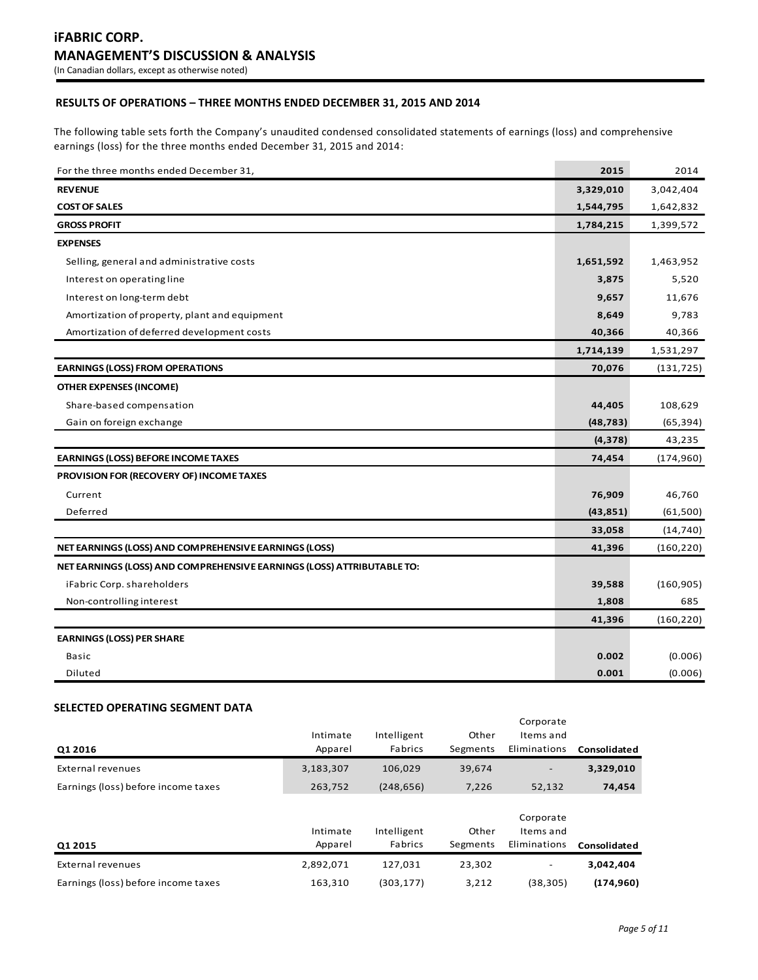# **RESULTS OF OPERATIONS – THREE MONTHS ENDED DECEMBER 31, 2015 AND 2014**

The following table sets forth the Company's unaudited condensed consolidated statements of earnings (loss) and comprehensive earnings (loss) for the three months ended December 31, 2015 and 2014:

| For the three months ended December 31,                                | 2015      | 2014       |
|------------------------------------------------------------------------|-----------|------------|
| <b>REVENUE</b>                                                         | 3,329,010 | 3,042,404  |
| <b>COST OF SALES</b>                                                   | 1,544,795 | 1,642,832  |
| <b>GROSS PROFIT</b>                                                    | 1,784,215 | 1,399,572  |
| <b>EXPENSES</b>                                                        |           |            |
| Selling, general and administrative costs                              | 1,651,592 | 1,463,952  |
| Interest on operating line                                             | 3,875     | 5,520      |
| Interest on long-term debt                                             | 9,657     | 11,676     |
| Amortization of property, plant and equipment                          | 8,649     | 9,783      |
| Amortization of deferred development costs                             | 40,366    | 40,366     |
|                                                                        | 1,714,139 | 1,531,297  |
| <b>EARNINGS (LOSS) FROM OPERATIONS</b>                                 | 70,076    | (131, 725) |
| <b>OTHER EXPENSES (INCOME)</b>                                         |           |            |
| Share-based compensation                                               | 44,405    | 108,629    |
| Gain on foreign exchange                                               | (48, 783) | (65, 394)  |
|                                                                        | (4, 378)  | 43,235     |
| <b>EARNINGS (LOSS) BEFORE INCOME TAXES</b>                             | 74,454    | (174, 960) |
| PROVISION FOR (RECOVERY OF) INCOME TAXES                               |           |            |
| Current                                                                | 76,909    | 46,760     |
| Deferred                                                               | (43, 851) | (61,500)   |
|                                                                        | 33,058    | (14, 740)  |
| NET EARNINGS (LOSS) AND COMPREHENSIVE EARNINGS (LOSS)                  | 41,396    | (160, 220) |
| NET EARNINGS (LOSS) AND COMPREHENSIVE EARNINGS (LOSS) ATTRIBUTABLE TO: |           |            |
| iFabric Corp. shareholders                                             | 39,588    | (160, 905) |
| Non-controlling interest                                               | 1,808     | 685        |
|                                                                        | 41,396    | (160, 220) |
| <b>EARNINGS (LOSS) PER SHARE</b>                                       |           |            |
| Basic                                                                  | 0.002     | (0.006)    |
| Diluted                                                                | 0.001     | (0.006)    |

# **SELECTED OPERATING SEGMENT DATA**

| Q1 2016                             | Intimate<br>Apparel | Intelligent<br>Fabrics | Other<br>Segments | Corporate<br>Items and<br>Eliminations | Consolidated |
|-------------------------------------|---------------------|------------------------|-------------------|----------------------------------------|--------------|
| External revenues                   | 3,183,307           | 106,029                | 39,674            | $\overline{\phantom{a}}$               | 3,329,010    |
| Earnings (loss) before income taxes | 263,752             | (248, 656)             | 7,226             | 52,132                                 | 74,454       |
| Q1 2015                             | Intimate<br>Apparel | Intelligent<br>Fabrics | Other<br>Segments | Corporate<br>Items and<br>Eliminations | Consolidated |
| External revenues                   | 2,892,071           | 127,031                | 23.302            |                                        | 3.042.404    |

Earnings (loss) before income taxes 163,310 (303,177) 3,212 (38,305) **(174,960)**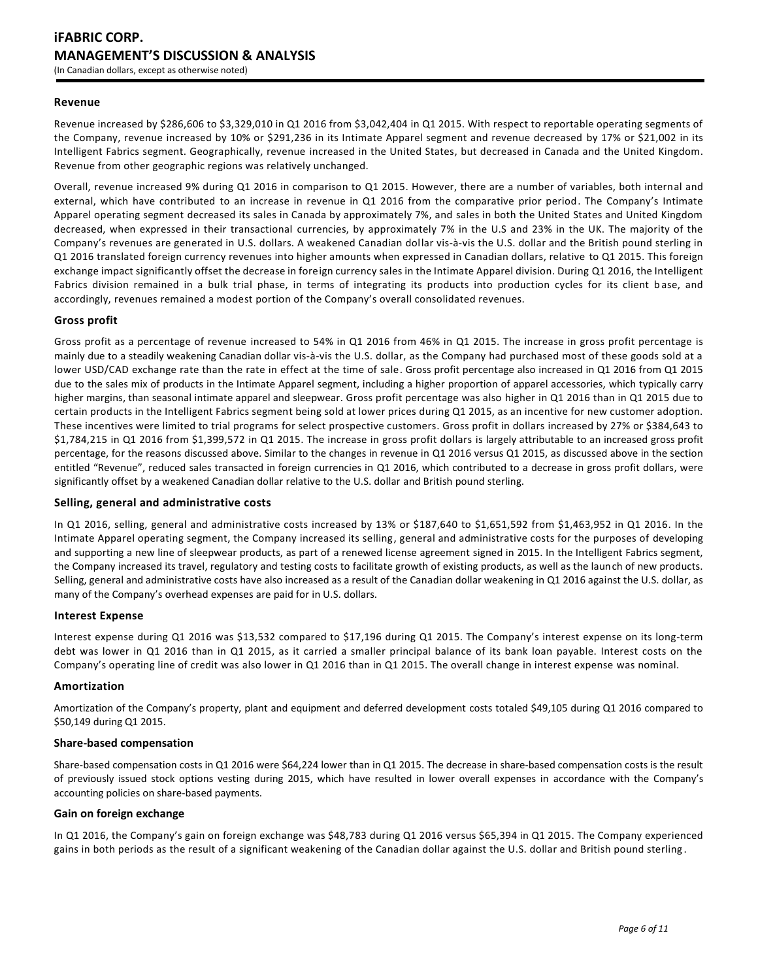### **Revenue**

Revenue increased by \$286,606 to \$3,329,010 in Q1 2016 from \$3,042,404 in Q1 2015. With respect to reportable operating segments of the Company, revenue increased by 10% or \$291,236 in its Intimate Apparel segment and revenue decreased by 17% or \$21,002 in its Intelligent Fabrics segment. Geographically, revenue increased in the United States, but decreased in Canada and the United Kingdom. Revenue from other geographic regions was relatively unchanged.

Overall, revenue increased 9% during Q1 2016 in comparison to Q1 2015. However, there are a number of variables, both internal and external, which have contributed to an increase in revenue in Q1 2016 from the comparative prior period. The Company's Intimate Apparel operating segment decreased its sales in Canada by approximately 7%, and sales in both the United States and United Kingdom decreased, when expressed in their transactional currencies, by approximately 7% in the U.S and 23% in the UK. The majority of the Company's revenues are generated in U.S. dollars. A weakened Canadian dollar vis-à-vis the U.S. dollar and the British pound sterling in Q1 2016 translated foreign currency revenues into higher amounts when expressed in Canadian dollars, relative to Q1 2015. This foreign exchange impact significantly offset the decrease in foreign currency sales in the Intimate Apparel division. During Q1 2016, the Intelligent Fabrics division remained in a bulk trial phase, in terms of integrating its products into production cycles for its client b ase, and accordingly, revenues remained a modest portion of the Company's overall consolidated revenues.

### **Gross profit**

Gross profit as a percentage of revenue increased to 54% in Q1 2016 from 46% in Q1 2015. The increase in gross profit percentage is mainly due to a steadily weakening Canadian dollar vis-à-vis the U.S. dollar, as the Company had purchased most of these goods sold at a lower USD/CAD exchange rate than the rate in effect at the time of sale. Gross profit percentage also increased in Q1 2016 from Q1 2015 due to the sales mix of products in the Intimate Apparel segment, including a higher proportion of apparel accessories, which typically carry higher margins, than seasonal intimate apparel and sleepwear. Gross profit percentage was also higher in Q1 2016 than in Q1 2015 due to certain products in the Intelligent Fabrics segment being sold at lower prices during Q1 2015, as an incentive for new customer adoption. These incentives were limited to trial programs for select prospective customers. Gross profit in dollars increased by 27% or \$384,643 to \$1,784,215 in Q1 2016 from \$1,399,572 in Q1 2015. The increase in gross profit dollars is largely attributable to an increased gross profit percentage, for the reasons discussed above. Similar to the changes in revenue in Q1 2016 versus Q1 2015, as discussed above in the section entitled "Revenue", reduced sales transacted in foreign currencies in Q1 2016, which contributed to a decrease in gross profit dollars, were significantly offset by a weakened Canadian dollar relative to the U.S. dollar and British pound sterling.

### **Selling, general and administrative costs**

In Q1 2016, selling, general and administrative costs increased by 13% or \$187,640 to \$1,651,592 from \$1,463,952 in Q1 2016. In the Intimate Apparel operating segment, the Company increased its selling, general and administrative costs for the purposes of developing and supporting a new line of sleepwear products, as part of a renewed license agreement signed in 2015. In the Intelligent Fabrics segment, the Company increased its travel, regulatory and testing costs to facilitate growth of existing products, as well as the launch of new products. Selling, general and administrative costs have also increased as a result of the Canadian dollar weakening in Q1 2016 against the U.S. dollar, as many of the Company's overhead expenses are paid for in U.S. dollars.

### **Interest Expense**

Interest expense during Q1 2016 was \$13,532 compared to \$17,196 during Q1 2015. The Company's interest expense on its long-term debt was lower in Q1 2016 than in Q1 2015, as it carried a smaller principal balance of its bank loan payable. Interest costs on the Company's operating line of credit was also lower in Q1 2016 than in Q1 2015. The overall change in interest expense was nominal.

### **Amortization**

Amortization of the Company's property, plant and equipment and deferred development costs totaled \$49,105 during Q1 2016 compared to \$50,149 during Q1 2015.

### **Share-based compensation**

Share-based compensation costs in Q1 2016 were \$64,224 lower than in Q1 2015. The decrease in share-based compensation costs is the result of previously issued stock options vesting during 2015, which have resulted in lower overall expenses in accordance with the Company's accounting policies on share-based payments.

### **Gain on foreign exchange**

In Q1 2016, the Company's gain on foreign exchange was \$48,783 during Q1 2016 versus \$65,394 in Q1 2015. The Company experienced gains in both periods as the result of a significant weakening of the Canadian dollar against the U.S. dollar and British pound sterling.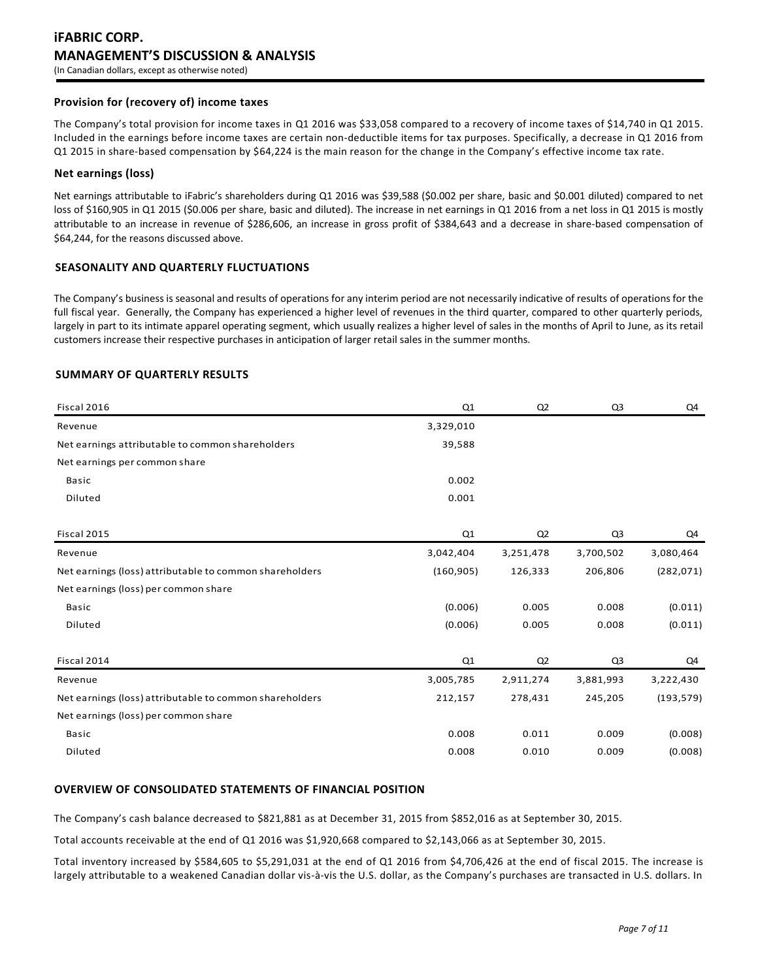### **Provision for (recovery of) income taxes**

The Company's total provision for income taxes in Q1 2016 was \$33,058 compared to a recovery of income taxes of \$14,740 in Q1 2015. Included in the earnings before income taxes are certain non-deductible items for tax purposes. Specifically, a decrease in Q1 2016 from Q1 2015 in share-based compensation by \$64,224 is the main reason for the change in the Company's effective income tax rate.

### **Net earnings (loss)**

Net earnings attributable to iFabric's shareholders during Q1 2016 was \$39,588 (\$0.002 per share, basic and \$0.001 diluted) compared to net loss of \$160,905 in Q1 2015 (\$0.006 per share, basic and diluted). The increase in net earnings in Q1 2016 from a net loss in Q1 2015 is mostly attributable to an increase in revenue of \$286,606, an increase in gross profit of \$384,643 and a decrease in share-based compensation of \$64,244, for the reasons discussed above.

### **SEASONALITY AND QUARTERLY FLUCTUATIONS**

The Company's business is seasonal and results of operations for any interim period are not necessarily indicative of results of operations for the full fiscal year. Generally, the Company has experienced a higher level of revenues in the third quarter, compared to other quarterly periods, largely in part to its intimate apparel operating segment, which usually realizes a higher level of sales in the months of April to June, as its retail customers increase their respective purchases in anticipation of larger retail sales in the summer months.

### **SUMMARY OF QUARTERLY RESULTS**

| Fiscal 2016                                             | Q1         | Q2             | Q3             | Q4         |
|---------------------------------------------------------|------------|----------------|----------------|------------|
| Revenue                                                 | 3,329,010  |                |                |            |
| Net earnings attributable to common shareholders        | 39,588     |                |                |            |
| Net earnings per common share                           |            |                |                |            |
| <b>Basic</b>                                            | 0.002      |                |                |            |
| Diluted                                                 | 0.001      |                |                |            |
|                                                         |            |                |                |            |
| Fiscal 2015                                             | Q1         | Q <sub>2</sub> | Q <sub>3</sub> | Q4         |
| Revenue                                                 | 3,042,404  | 3,251,478      | 3,700,502      | 3,080,464  |
| Net earnings (loss) attributable to common shareholders | (160, 905) | 126,333        | 206,806        | (282, 071) |
| Net earnings (loss) per common share                    |            |                |                |            |
| Basic                                                   | (0.006)    | 0.005          | 0.008          | (0.011)    |
| Diluted                                                 | (0.006)    | 0.005          | 0.008          | (0.011)    |
|                                                         |            |                |                |            |
| Fiscal 2014                                             | Q1         | Q <sub>2</sub> | Q3             | Q4         |
| Revenue                                                 | 3,005,785  | 2,911,274      | 3,881,993      | 3,222,430  |
| Net earnings (loss) attributable to common shareholders | 212,157    | 278,431        | 245,205        | (193, 579) |
| Net earnings (loss) per common share                    |            |                |                |            |
| <b>Basic</b>                                            | 0.008      | 0.011          | 0.009          | (0.008)    |
| Diluted                                                 | 0.008      | 0.010          | 0.009          | (0.008)    |
|                                                         |            |                |                |            |

# **OVERVIEW OF CONSOLIDATED STATEMENTS OF FINANCIAL POSITION**

The Company's cash balance decreased to \$821,881 as at December 31, 2015 from \$852,016 as at September 30, 2015.

Total accounts receivable at the end of Q1 2016 was \$1,920,668 compared to \$2,143,066 as at September 30, 2015.

Total inventory increased by \$584,605 to \$5,291,031 at the end of Q1 2016 from \$4,706,426 at the end of fiscal 2015. The increase is largely attributable to a weakened Canadian dollar vis-à-vis the U.S. dollar, as the Company's purchases are transacted in U.S. dollars. In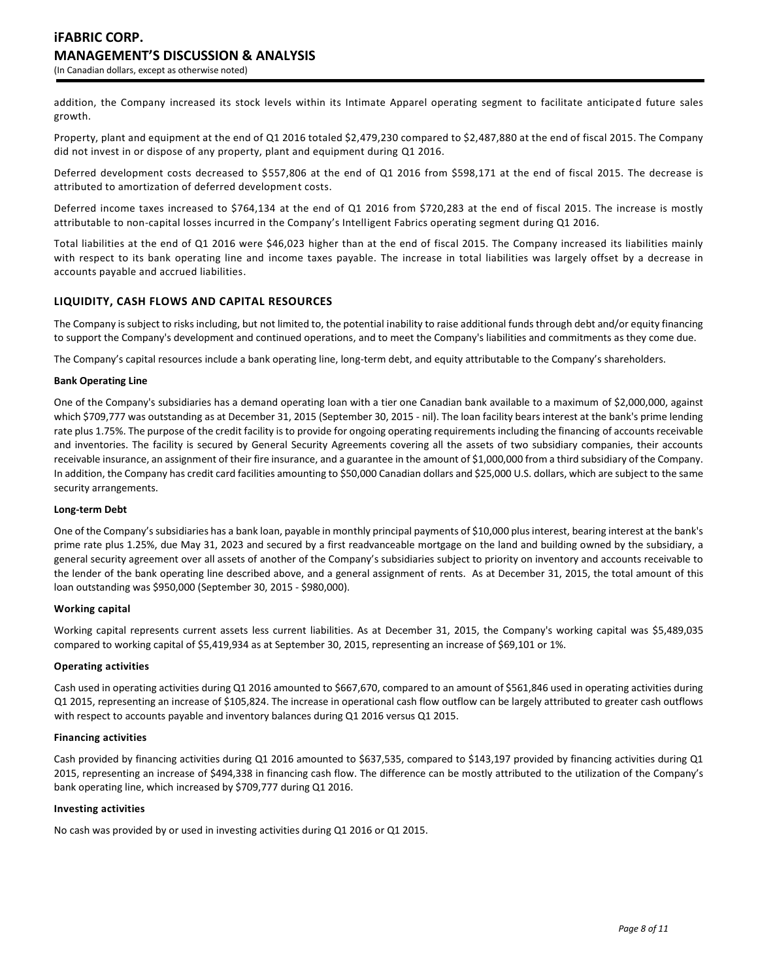addition, the Company increased its stock levels within its Intimate Apparel operating segment to facilitate anticipated future sales growth.

Property, plant and equipment at the end of Q1 2016 totaled \$2,479,230 compared to \$2,487,880 at the end of fiscal 2015. The Company did not invest in or dispose of any property, plant and equipment during Q1 2016.

Deferred development costs decreased to \$557,806 at the end of Q1 2016 from \$598,171 at the end of fiscal 2015. The decrease is attributed to amortization of deferred development costs.

Deferred income taxes increased to \$764,134 at the end of Q1 2016 from \$720,283 at the end of fiscal 2015. The increase is mostly attributable to non-capital losses incurred in the Company's Intelligent Fabrics operating segment during Q1 2016.

Total liabilities at the end of Q1 2016 were \$46,023 higher than at the end of fiscal 2015. The Company increased its liabilities mainly with respect to its bank operating line and income taxes payable. The increase in total liabilities was largely offset by a decrease in accounts payable and accrued liabilities.

# **LIQUIDITY, CASH FLOWS AND CAPITAL RESOURCES**

The Company is subject to risks including, but not limited to, the potential inability to raise additional funds through debt and/or equity financing to support the Company's development and continued operations, and to meet the Company's liabilities and commitments as they come due.

The Company's capital resources include a bank operating line, long-term debt, and equity attributable to the Company's shareholders.

### **Bank Operating Line**

One of the Company's subsidiaries has a demand operating loan with a tier one Canadian bank available to a maximum of \$2,000,000, against which \$709,777 was outstanding as at December 31, 2015 (September 30, 2015 - nil). The loan facility bears interest at the bank's prime lending rate plus 1.75%. The purpose of the credit facility is to provide for ongoing operating requirements including the financing of accounts receivable and inventories. The facility is secured by General Security Agreements covering all the assets of two subsidiary companies, their accounts receivable insurance, an assignment of their fire insurance, and a guarantee in the amount of \$1,000,000 from a third subsidiary of the Company. In addition, the Company has credit card facilities amounting to \$50,000 Canadian dollars and \$25,000 U.S. dollars, which are subject to the same security arrangements.

# **Long-term Debt**

One of the Company's subsidiaries has a bank loan, payable in monthly principal payments of \$10,000 plus interest, bearing interest at the bank's prime rate plus 1.25%, due May 31, 2023 and secured by a first readvanceable mortgage on the land and building owned by the subsidiary, a general security agreement over all assets of another of the Company's subsidiaries subject to priority on inventory and accounts receivable to the lender of the bank operating line described above, and a general assignment of rents. As at December 31, 2015, the total amount of this loan outstanding was \$950,000 (September 30, 2015 - \$980,000).

### **Working capital**

Working capital represents current assets less current liabilities. As at December 31, 2015, the Company's working capital was \$5,489,035 compared to working capital of \$5,419,934 as at September 30, 2015, representing an increase of \$69,101 or 1%.

### **Operating activities**

Cash used in operating activities during Q1 2016 amounted to \$667,670, compared to an amount of \$561,846 used in operating activities during Q1 2015, representing an increase of \$105,824. The increase in operational cash flow outflow can be largely attributed to greater cash outflows with respect to accounts payable and inventory balances during Q1 2016 versus Q1 2015.

#### **Financing activities**

Cash provided by financing activities during Q1 2016 amounted to \$637,535, compared to \$143,197 provided by financing activities during Q1 2015, representing an increase of \$494,338 in financing cash flow. The difference can be mostly attributed to the utilization of the Company's bank operating line, which increased by \$709,777 during Q1 2016.

### **Investing activities**

No cash was provided by or used in investing activities during Q1 2016 or Q1 2015.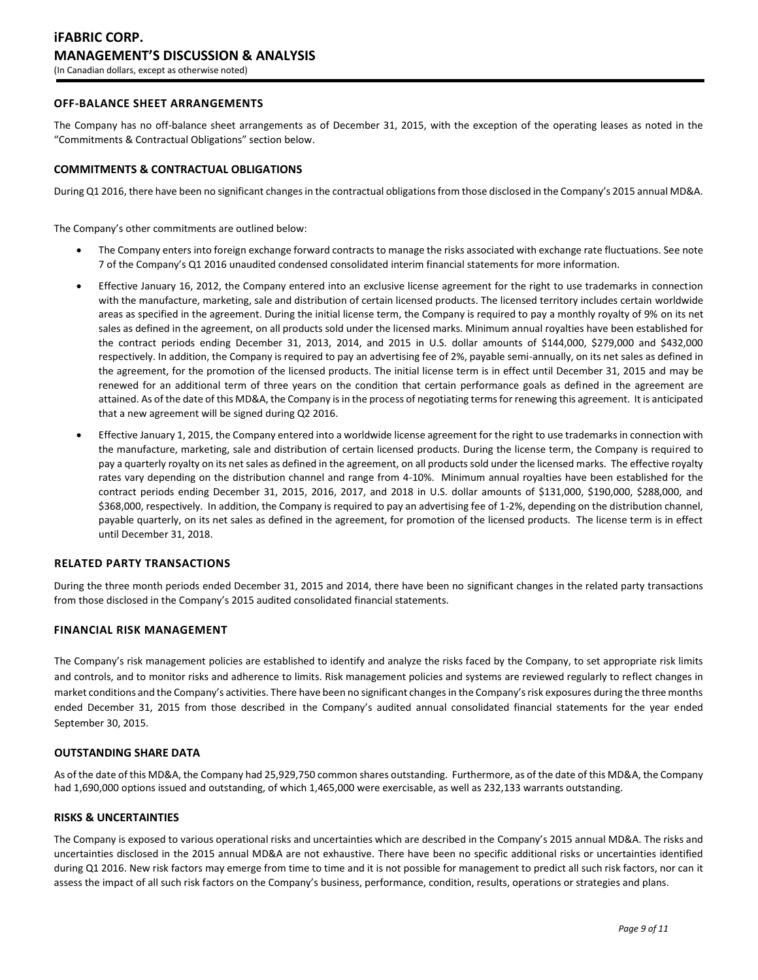# **OFF-BALANCE SHEET ARRANGEMENTS**

The Company has no off-balance sheet arrangements as of December 31, 2015, with the exception of the operating leases as noted in the "Commitments & Contractual Obligations" section below.

### **COMMITMENTS & CONTRACTUAL OBLIGATIONS**

During Q1 2016, there have been no significant changes in the contractual obligations from those disclosed in the Company's 2015 annual MD&A.

The Company's other commitments are outlined below:

- The Company enters into foreign exchange forward contracts to manage the risks associated with exchange rate fluctuations. See note 7 of the Company's Q1 2016 unaudited condensed consolidated interim financial statements for more information.
- Effective January 16, 2012, the Company entered into an exclusive license agreement for the right to use trademarks in connection with the manufacture, marketing, sale and distribution of certain licensed products. The licensed territory includes certain worldwide areas as specified in the agreement. During the initial license term, the Company is required to pay a monthly royalty of 9% on its net sales as defined in the agreement, on all products sold under the licensed marks. Minimum annual royalties have been established for the contract periods ending December 31, 2013, 2014, and 2015 in U.S. dollar amounts of \$144,000, \$279,000 and \$432,000 respectively. In addition, the Company is required to pay an advertising fee of 2%, payable semi-annually, on its net sales as defined in the agreement, for the promotion of the licensed products. The initial license term is in effect until December 31, 2015 and may be renewed for an additional term of three years on the condition that certain performance goals as defined in the agreement are attained. As of the date of this MD&A, the Company is in the process of negotiating terms for renewing this agreement. It is anticipated that a new agreement will be signed during Q2 2016.
- Effective January 1, 2015, the Company entered into a worldwide license agreement for the right to use trademarks in connection with the manufacture, marketing, sale and distribution of certain licensed products. During the license term, the Company is required to pay a quarterly royalty on its net sales as defined in the agreement, on all products sold under the licensed marks. The effective royalty rates vary depending on the distribution channel and range from 4-10%. Minimum annual royalties have been established for the contract periods ending December 31, 2015, 2016, 2017, and 2018 in U.S. dollar amounts of \$131,000, \$190,000, \$288,000, and \$368,000, respectively. In addition, the Company is required to pay an advertising fee of 1-2%, depending on the distribution channel, payable quarterly, on its net sales as defined in the agreement, for promotion of the licensed products. The license term is in effect until December 31, 2018.

### **RELATED PARTY TRANSACTIONS**

During the three month periods ended December 31, 2015 and 2014, there have been no significant changes in the related party transactions from those disclosed in the Company's 2015 audited consolidated financial statements.

### **FINANCIAL RISK MANAGEMENT**

The Company's risk management policies are established to identify and analyze the risks faced by the Company, to set appropriate risk limits and controls, and to monitor risks and adherence to limits. Risk management policies and systems are reviewed regularly to reflect changes in market conditions and the Company's activities. There have been no significant changes in the Company's risk exposures during the three months ended December 31, 2015 from those described in the Company's audited annual consolidated financial statements for the year ended September 30, 2015.

### **OUTSTANDING SHARE DATA**

As of the date of this MD&A, the Company had 25,929,750 common shares outstanding. Furthermore, as of the date of this MD&A, the Company had 1,690,000 options issued and outstanding, of which 1,465,000 were exercisable, as well as 232,133 warrants outstanding.

# **RISKS & UNCERTAINTIES**

The Company is exposed to various operational risks and uncertainties which are described in the Company's 2015 annual MD&A. The risks and uncertainties disclosed in the 2015 annual MD&A are not exhaustive. There have been no specific additional risks or uncertainties identified during Q1 2016. New risk factors may emerge from time to time and it is not possible for management to predict all such risk factors, nor can it assess the impact of all such risk factors on the Company's business, performance, condition, results, operations or strategies and plans.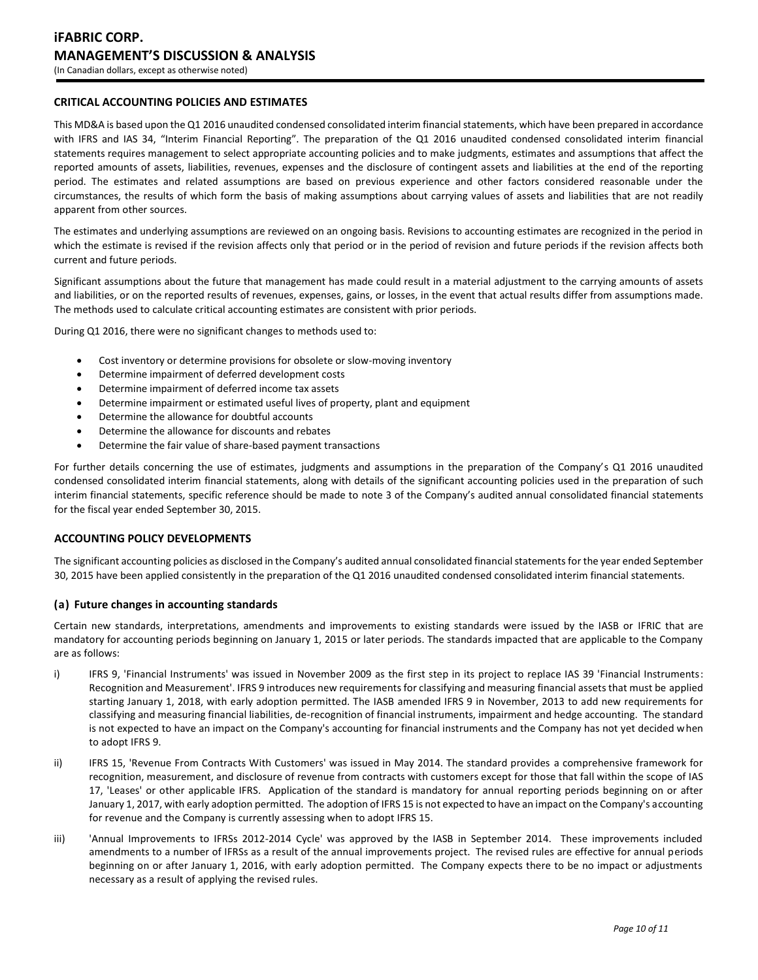# **CRITICAL ACCOUNTING POLICIES AND ESTIMATES**

This MD&A is based upon the Q1 2016 unaudited condensed consolidated interim financial statements, which have been prepared in accordance with IFRS and IAS 34, "Interim Financial Reporting". The preparation of the Q1 2016 unaudited condensed consolidated interim financial statements requires management to select appropriate accounting policies and to make judgments, estimates and assumptions that affect the reported amounts of assets, liabilities, revenues, expenses and the disclosure of contingent assets and liabilities at the end of the reporting period. The estimates and related assumptions are based on previous experience and other factors considered reasonable under the circumstances, the results of which form the basis of making assumptions about carrying values of assets and liabilities that are not readily apparent from other sources.

The estimates and underlying assumptions are reviewed on an ongoing basis. Revisions to accounting estimates are recognized in the period in which the estimate is revised if the revision affects only that period or in the period of revision and future periods if the revision affects both current and future periods.

Significant assumptions about the future that management has made could result in a material adjustment to the carrying amounts of assets and liabilities, or on the reported results of revenues, expenses, gains, or losses, in the event that actual results differ from assumptions made. The methods used to calculate critical accounting estimates are consistent with prior periods.

During Q1 2016, there were no significant changes to methods used to:

- Cost inventory or determine provisions for obsolete or slow-moving inventory
- Determine impairment of deferred development costs
- Determine impairment of deferred income tax assets
- Determine impairment or estimated useful lives of property, plant and equipment
- Determine the allowance for doubtful accounts
- Determine the allowance for discounts and rebates
- Determine the fair value of share-based payment transactions

For further details concerning the use of estimates, judgments and assumptions in the preparation of the Company's Q1 2016 unaudited condensed consolidated interim financial statements, along with details of the significant accounting policies used in the preparation of such interim financial statements, specific reference should be made to note 3 of the Company's audited annual consolidated financial statements for the fiscal year ended September 30, 2015.

### **ACCOUNTING POLICY DEVELOPMENTS**

The significant accounting policies as disclosed in the Company's audited annual consolidated financial statements for the year ended September 30, 2015 have been applied consistently in the preparation of the Q1 2016 unaudited condensed consolidated interim financial statements.

### **(a) Future changes in accounting standards**

Certain new standards, interpretations, amendments and improvements to existing standards were issued by the IASB or IFRIC that are mandatory for accounting periods beginning on January 1, 2015 or later periods. The standards impacted that are applicable to the Company are as follows:

- i) IFRS 9, 'Financial Instruments' was issued in November 2009 as the first step in its project to replace IAS 39 'Financial Instruments: Recognition and Measurement'. IFRS 9 introduces new requirements for classifying and measuring financial assets that must be applied starting January 1, 2018, with early adoption permitted. The IASB amended IFRS 9 in November, 2013 to add new requirements for classifying and measuring financial liabilities, de-recognition of financial instruments, impairment and hedge accounting. The standard is not expected to have an impact on the Company's accounting for financial instruments and the Company has not yet decided when to adopt IFRS 9.
- ii) IFRS 15, 'Revenue From Contracts With Customers' was issued in May 2014. The standard provides a comprehensive framework for recognition, measurement, and disclosure of revenue from contracts with customers except for those that fall within the scope of IAS 17, 'Leases' or other applicable IFRS. Application of the standard is mandatory for annual reporting periods beginning on or after January 1, 2017, with early adoption permitted. The adoption of IFRS 15 is not expected to have an impact on the Company's accounting for revenue and the Company is currently assessing when to adopt IFRS 15.
- iii) Yannual Improvements to IFRSs 2012-2014 Cycle' was approved by the IASB in September 2014. These improvements included amendments to a number of IFRSs as a result of the annual improvements project. The revised rules are effective for annual periods beginning on or after January 1, 2016, with early adoption permitted. The Company expects there to be no impact or adjustments necessary as a result of applying the revised rules.